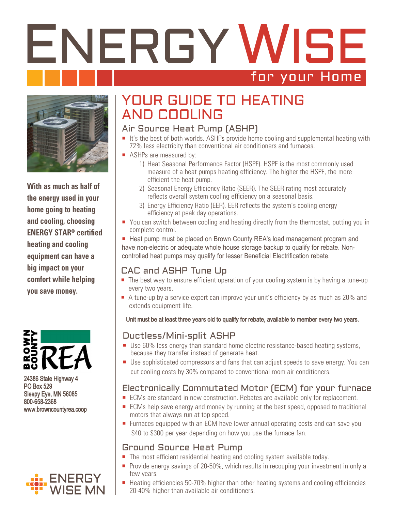# ENERGY WISE for your Home



**With as much as half of the energy used in your home going to heating and cooling, choosing ENERGY STAR® certified heating and cooling equipment can have a big impact on your comfort while helping you save money.**



24386 State Highway 4 PO Box 529 Sleepy Eye, MN 56085 800-658-2368 www.browncountyrea.coop



# YOUR GUIDE TO HEATING AND COOLING

#### Air Source Heat Pump (ASHP)

- $\blacksquare$  It's the best of both worlds. ASHPs provide home cooling and supplemental heating with 72% less electricity than conventional air conditioners and furnaces.
- ASHPs are measured by:
	- 1) Heat Seasonal Performance Factor (HSPF). HSPF is the most commonly used measure of a heat pumps heating efficiency. The higher the HSPF, the more efficient the heat pump.
	- 2) Seasonal Energy Efficiency Ratio (SEER). The SEER rating most accurately reflects overall system cooling efficiency on a seasonal basis.
	- 3) Energy Efficiency Ratio (EER). EER reflects the system's cooling energy efficiency at peak day operations.
- You can switch between cooling and heating directly from the thermostat, putting you in complete control.

■ Heat pump must be placed on Brown County REA's load management program and have non-electric or adequate whole house storage backup to qualify for rebate. Noncontrolled heat pumps may qualify for lesser Beneficial Electrification rebate.

## CAC and ASHP Tune Up

- The best way to ensure efficient operation of your cooling system is by having a tune-up every two years.
- A tune-up by a service expert can improve your unit's efficiency by as much as 20% and extends equipment life.

#### Unit must be at least three years old to qualify for rebate, available to member every two years.

#### Ductless/Mini-split ASHP

- Use 60% less energy than standard home electric resistance-based heating systems, because they transfer instead of generate heat.
- Use sophisticated compressors and fans that can adjust speeds to save energy. You can cut cooling costs by 30% compared to conventional room air conditioners.

## Electronically Commutated Motor (ECM) for your furnace

- **ECMs** are standard in new construction. Rebates are available only for replacement.
- ECMs help save energy and money by running at the best speed, opposed to traditional motors that always run at top speed.
- **Furnaces equipped with an ECM have lower annual operating costs and can save you** \$40 to \$300 per year depending on how you use the furnace fan.

### Ground Source Heat Pump

- The most efficient residential heating and cooling system available today.
- **Provide energy savings of 20-50%, which results in recouping your investment in only a** few years.
- Heating efficiencies 50-70% higher than other heating systems and cooling efficiencies 20-40% higher than available air conditioners.